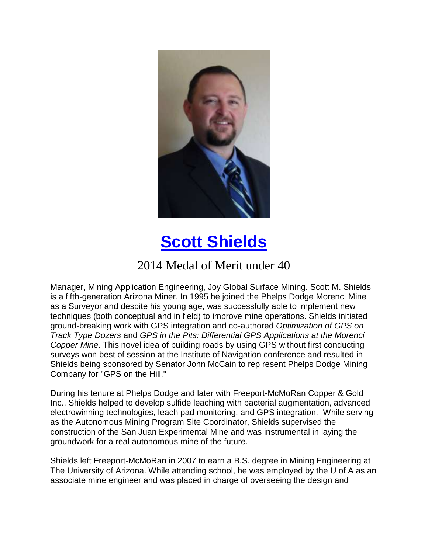

## **[Scott Shields](https://www.youtube.com/watch?v=M_7DRKc-1Oo)**

## 2014 Medal of Merit under 40

Manager, Mining Application Engineering, Joy Global Surface Mining. Scott M. Shields is a fifth-generation Arizona Miner. In 1995 he joined the Phelps Dodge Morenci Mine as a Surveyor and despite his young age, was successfully able to implement new techniques (both conceptual and in field) to improve mine operations. Shields initiated ground-breaking work with GPS integration and co-authored *Optimization of GPS on Track Type Dozers* and *GPS in the Pits: Differential GPS Applications at the Morenci Copper Mine*. This novel idea of building roads by using GPS without first conducting surveys won best of session at the Institute of Navigation conference and resulted in Shields being sponsored by Senator John McCain to rep resent Phelps Dodge Mining Company for "GPS on the Hill."

During his tenure at Phelps Dodge and later with Freeport-McMoRan Copper & Gold Inc., Shields helped to develop sulfide leaching with bacterial augmentation, advanced electrowinning technologies, leach pad monitoring, and GPS integration. While serving as the Autonomous Mining Program Site Coordinator, Shields supervised the construction of the San Juan Experimental Mine and was instrumental in laying the groundwork for a real autonomous mine of the future.

Shields left Freeport-McMoRan in 2007 to earn a B.S. degree in Mining Engineering at The University of Arizona. While attending school, he was employed by the U of A as an associate mine engineer and was placed in charge of overseeing the design and